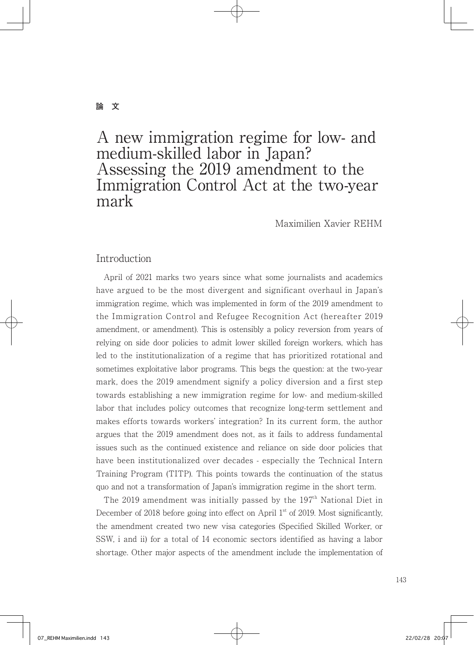## **論 文**

# A new immigration regime for low- and medium-skilled labor in Japan? Assessing the 2019 amendment to the Immigration Control Act at the two-year mark

Maximilien Xavier REHM

# Introduction

 April of 2021 marks two years since what some journalists and academics have argued to be the most divergent and significant overhaul in Japan's immigration regime, which was implemented in form of the 2019 amendment to the Immigration Control and Refugee Recognition Act (hereafter 2019 amendment, or amendment). This is ostensibly a policy reversion from years of relying on side door policies to admit lower skilled foreign workers, which has led to the institutionalization of a regime that has prioritized rotational and sometimes exploitative labor programs. This begs the question: at the two-year mark, does the 2019 amendment signify a policy diversion and a first step towards establishing a new immigration regime for low- and medium-skilled labor that includes policy outcomes that recognize long-term settlement and makes efforts towards workers' integration? In its current form, the author argues that the 2019 amendment does not, as it fails to address fundamental issues such as the continued existence and reliance on side door policies that have been institutionalized over decades - especially the Technical Intern Training Program (TITP). This points towards the continuation of the status quo and not a transformation of Japan's immigration regime in the short term.

The 2019 amendment was initially passed by the  $197<sup>th</sup>$  National Diet in December of 2018 before going into effect on April  $1<sup>st</sup>$  of 2019. Most significantly, the amendment created two new visa categories (Specified Skilled Worker, or SSW, i and ii) for a total of 14 economic sectors identified as having a labor shortage. Other major aspects of the amendment include the implementation of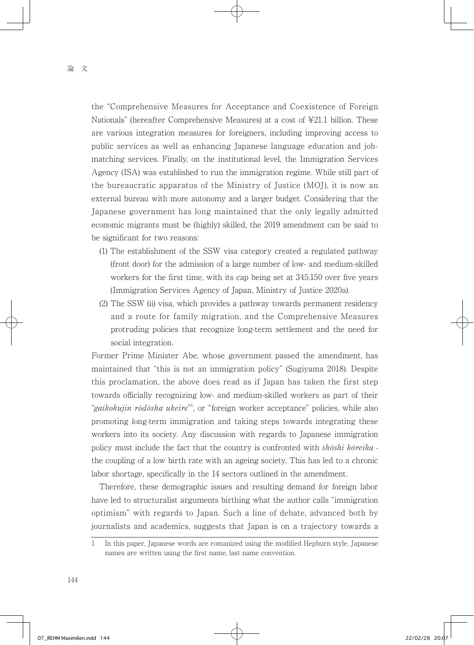the "Comprehensive Measures for Acceptance and Coexistence of Foreign Nationals" (hereafter Comprehensive Measures) at a cost of ¥21.1 billion. These are various integration measures for foreigners, including improving access to public services as well as enhancing Japanese language education and jobmatching services. Finally, on the institutional level, the Immigration Services Agency (ISA) was established to run the immigration regime. While still part of the bureaucratic apparatus of the Ministry of Justice (MOJ), it is now an external bureau with more autonomy and a larger budget. Considering that the Japanese government has long maintained that the only legally admitted economic migrants must be (highly) skilled, the 2019 amendment can be said to be significant for two reasons:

- (1) The establishment of the SSW visa category created a regulated pathway (front door) for the admission of a large number of low- and medium-skilled workers for the first time, with its cap being set at 345,150 over five years (Immigration Services Agency of Japan, Ministry of Justice 2020a).
- (2) The SSW (ii) visa, which provides a pathway towards permanent residency and a route for family migration, and the Comprehensive Measures protruding policies that recognize long-term settlement and the need for social integration.

Former Prime Minister Abe, whose government passed the amendment, has maintained that "this is not an immigration policy" (Sugiyama 2018). Despite this proclamation, the above does read as if Japan has taken the first step towards officially recognizing low- and medium-skilled workers as part of their "gaikokujin rōdōsha ukeire"<sup>1</sup>, or "foreign worker acceptance" policies, while also promoting long-term immigration and taking steps towards integrating these workers into its society. Any discussion with regards to Japanese immigration policy must include the fact that the country is confronted with  $sh\ddot{o}shi\,\,k\ddot{o}reika$ the coupling of a low birth rate with an ageing society. This has led to a chronic labor shortage, specifically in the 14 sectors outlined in the amendment.

 Therefore, these demographic issues and resulting demand for foreign labor have led to structuralist arguments birthing what the author calls "immigration optimism" with regards to Japan. Such a line of debate, advanced both by journalists and academics, suggests that Japan is on a trajectory towards a

<sup>1</sup> In this paper, Japanese words are romanized using the modified Hepburn style. Japanese names are written using the first name, last name convention.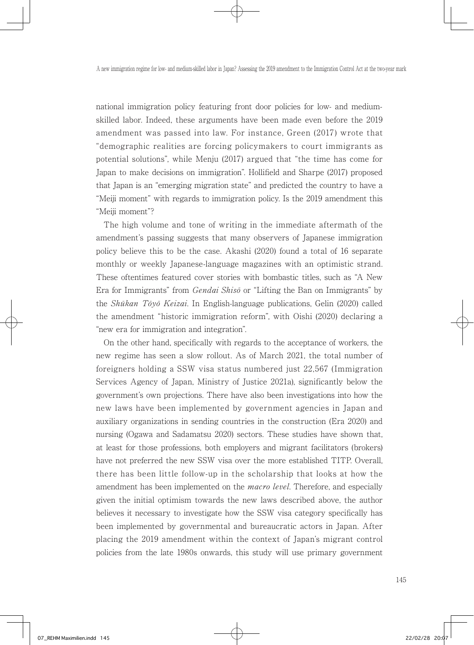national immigration policy featuring front door policies for low- and mediumskilled labor. Indeed, these arguments have been made even before the 2019 amendment was passed into law. For instance, Green (2017) wrote that "demographic realities are forcing policymakers to court immigrants as potential solutions", while Menju (2017) argued that "the time has come for Japan to make decisions on immigration". Hollifield and Sharpe (2017) proposed that Japan is an "emerging migration state" and predicted the country to have a "Meiji moment" with regards to immigration policy. Is the 2019 amendment this "Meiji moment"?

 The high volume and tone of writing in the immediate aftermath of the amendment's passing suggests that many observers of Japanese immigration policy believe this to be the case. Akashi (2020) found a total of 16 separate monthly or weekly Japanese-language magazines with an optimistic strand. These oftentimes featured cover stories with bombastic titles, such as "A New Era for Immigrants" from *Gendai Shisō* or "Lifting the Ban on Immigrants" by the Shūkan Tōyō Keizai. In English-language publications, Gelin (2020) called the amendment "historic immigration reform", with Oishi (2020) declaring a "new era for immigration and integration".

 On the other hand, specifically with regards to the acceptance of workers, the new regime has seen a slow rollout. As of March 2021, the total number of foreigners holding a SSW visa status numbered just 22,567 (Immigration Services Agency of Japan, Ministry of Justice 2021a), significantly below the government's own projections. There have also been investigations into how the new laws have been implemented by government agencies in Japan and auxiliary organizations in sending countries in the construction (Era 2020) and nursing (Ogawa and Sadamatsu 2020) sectors. These studies have shown that, at least for those professions, both employers and migrant facilitators (brokers) have not preferred the new SSW visa over the more established TITP. Overall, there has been little follow-up in the scholarship that looks at how the amendment has been implemented on the *macro level*. Therefore, and especially given the initial optimism towards the new laws described above, the author believes it necessary to investigate how the SSW visa category specifically has been implemented by governmental and bureaucratic actors in Japan. After placing the 2019 amendment within the context of Japan's migrant control policies from the late 1980s onwards, this study will use primary government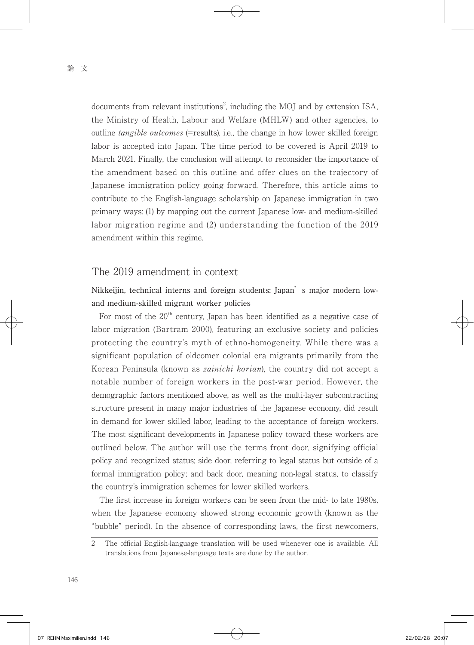documents from relevant institutions<sup>2</sup>, including the MOJ and by extension ISA, the Ministry of Health, Labour and Welfare (MHLW) and other agencies, to outline *tangible outcomes* (=results), i.e., the change in how lower skilled foreign labor is accepted into Japan. The time period to be covered is April 2019 to March 2021. Finally, the conclusion will attempt to reconsider the importance of the amendment based on this outline and offer clues on the trajectory of Japanese immigration policy going forward. Therefore, this article aims to contribute to the English-language scholarship on Japanese immigration in two primary ways: (1) by mapping out the current Japanese low- and medium-skilled labor migration regime and (2) understanding the function of the 2019 amendment within this regime.

# The 2019 amendment in context

Nikkeijin, technical interns and foreign students: Japan's major modern lowand medium-skilled migrant worker policies

For most of the 20<sup>th</sup> century, Japan has been identified as a negative case of labor migration (Bartram 2000), featuring an exclusive society and policies protecting the country's myth of ethno-homogeneity. While there was a significant population of oldcomer colonial era migrants primarily from the Korean Peninsula (known as *zainichi korian*), the country did not accept a notable number of foreign workers in the post-war period. However, the demographic factors mentioned above, as well as the multi-layer subcontracting structure present in many major industries of the Japanese economy, did result in demand for lower skilled labor, leading to the acceptance of foreign workers. The most significant developments in Japanese policy toward these workers are outlined below. The author will use the terms front door, signifying official policy and recognized status; side door, referring to legal status but outside of a formal immigration policy; and back door, meaning non-legal status, to classify the country's immigration schemes for lower skilled workers.

 The first increase in foreign workers can be seen from the mid- to late 1980s, when the Japanese economy showed strong economic growth (known as the "bubble" period). In the absence of corresponding laws, the first newcomers,

<sup>2</sup> The official English-language translation will be used whenever one is available. All translations from Japanese-language texts are done by the author.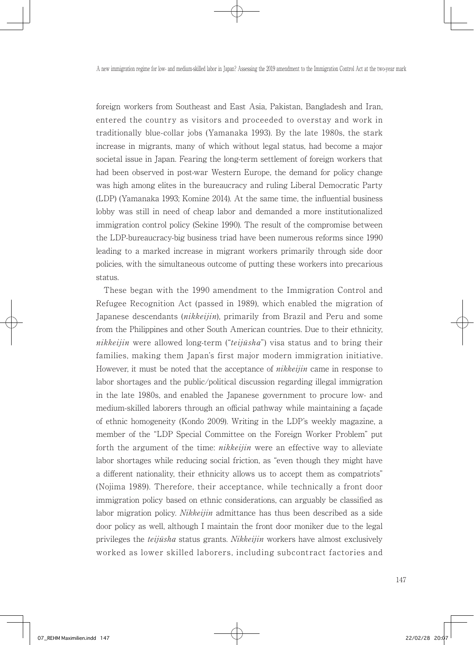foreign workers from Southeast and East Asia, Pakistan, Bangladesh and Iran, entered the country as visitors and proceeded to overstay and work in traditionally blue-collar jobs (Yamanaka 1993). By the late 1980s, the stark increase in migrants, many of which without legal status, had become a major societal issue in Japan. Fearing the long-term settlement of foreign workers that had been observed in post-war Western Europe, the demand for policy change was high among elites in the bureaucracy and ruling Liberal Democratic Party (LDP) (Yamanaka 1993; Komine 2014). At the same time, the influential business lobby was still in need of cheap labor and demanded a more institutionalized immigration control policy (Sekine 1990). The result of the compromise between the LDP-bureaucracy-big business triad have been numerous reforms since 1990 leading to a marked increase in migrant workers primarily through side door policies, with the simultaneous outcome of putting these workers into precarious status.

 These began with the 1990 amendment to the Immigration Control and Refugee Recognition Act (passed in 1989), which enabled the migration of Japanese descendants *(nikkeijin)*, primarily from Brazil and Peru and some from the Philippines and other South American countries. Due to their ethnicity, nikkeijin were allowed long-term ("teijūsha") visa status and to bring their families, making them Japan's first major modern immigration initiative. However, it must be noted that the acceptance of *nikkeijin* came in response to labor shortages and the public/political discussion regarding illegal immigration in the late 1980s, and enabled the Japanese government to procure low- and medium-skilled laborers through an official pathway while maintaining a façade of ethnic homogeneity (Kondo 2009). Writing in the LDP's weekly magazine, a member of the "LDP Special Committee on the Foreign Worker Problem" put forth the argument of the time: *nikkeijin* were an effective way to alleviate labor shortages while reducing social friction, as "even though they might have a different nationality, their ethnicity allows us to accept them as compatriots" (Nojima 1989). Therefore, their acceptance, while technically a front door immigration policy based on ethnic considerations, can arguably be classified as labor migration policy. *Nikkeijin* admittance has thus been described as a side door policy as well, although I maintain the front door moniker due to the legal privileges the *teijūsha* status grants. *Nikkeijin* workers have almost exclusively worked as lower skilled laborers, including subcontract factories and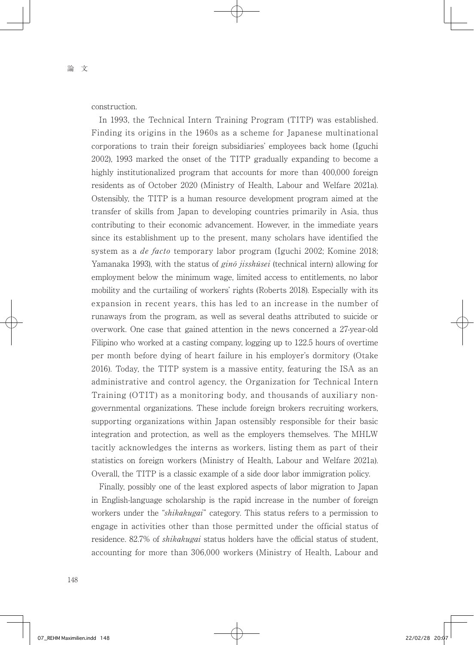construction.

 In 1993, the Technical Intern Training Program (TITP) was established. Finding its origins in the 1960s as a scheme for Japanese multinational corporations to train their foreign subsidiaries' employees back home (Iguchi 2002), 1993 marked the onset of the TITP gradually expanding to become a highly institutionalized program that accounts for more than 400,000 foreign residents as of October 2020 (Ministry of Health, Labour and Welfare 2021a). Ostensibly, the TITP is a human resource development program aimed at the transfer of skills from Japan to developing countries primarily in Asia, thus contributing to their economic advancement. However, in the immediate years since its establishment up to the present, many scholars have identified the system as a *de facto* temporary labor program (Iguchi 2002; Komine 2018; Yamanaka 1993), with the status of gino jisshūsei (technical intern) allowing for employment below the minimum wage, limited access to entitlements, no labor mobility and the curtailing of workers' rights (Roberts 2018). Especially with its expansion in recent years, this has led to an increase in the number of runaways from the program, as well as several deaths attributed to suicide or overwork. One case that gained attention in the news concerned a 27-year-old Filipino who worked at a casting company, logging up to 122.5 hours of overtime per month before dying of heart failure in his employer's dormitory (Otake 2016). Today, the TITP system is a massive entity, featuring the ISA as an administrative and control agency, the Organization for Technical Intern Training (OTIT) as a monitoring body, and thousands of auxiliary nongovernmental organizations. These include foreign brokers recruiting workers, supporting organizations within Japan ostensibly responsible for their basic integration and protection, as well as the employers themselves. The MHLW tacitly acknowledges the interns as workers, listing them as part of their statistics on foreign workers (Ministry of Health, Labour and Welfare 2021a). Overall, the TITP is a classic example of a side door labor immigration policy.

 Finally, possibly one of the least explored aspects of labor migration to Japan in English-language scholarship is the rapid increase in the number of foreign workers under the "*shikakugai*" category. This status refers to a permission to engage in activities other than those permitted under the official status of residence. 82.7% of *shikakugai* status holders have the official status of student, accounting for more than 306,000 workers (Ministry of Health, Labour and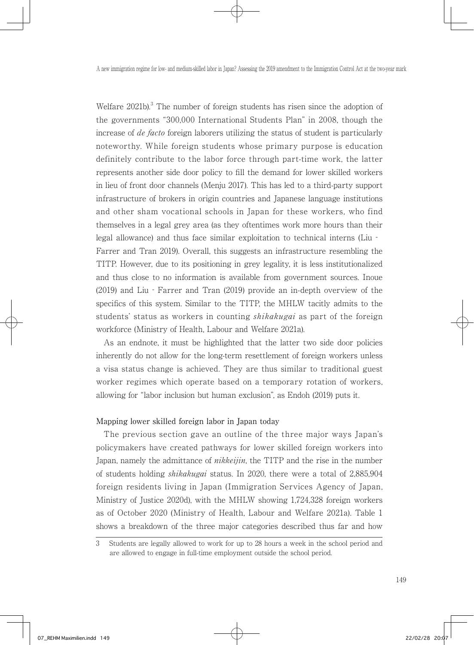Welfare 2021b).<sup>3</sup> The number of foreign students has risen since the adoption of the governments "300,000 International Students Plan" in 2008, though the increase of de facto foreign laborers utilizing the status of student is particularly noteworthy. While foreign students whose primary purpose is education definitely contribute to the labor force through part-time work, the latter represents another side door policy to fill the demand for lower skilled workers in lieu of front door channels (Menju 2017). This has led to a third-party support infrastructure of brokers in origin countries and Japanese language institutions and other sham vocational schools in Japan for these workers, who find themselves in a legal grey area (as they oftentimes work more hours than their legal allowance) and thus face similar exploitation to technical interns (Liu‐ Farrer and Tran 2019). Overall, this suggests an infrastructure resembling the TITP. However, due to its positioning in grey legality, it is less institutionalized and thus close to no information is available from government sources. Inoue (2019) and Liu‐Farrer and Tran (2019) provide an in-depth overview of the specifics of this system. Similar to the TITP, the MHLW tacitly admits to the students' status as workers in counting *shikakugai* as part of the foreign workforce (Ministry of Health, Labour and Welfare 2021a).

 As an endnote, it must be highlighted that the latter two side door policies inherently do not allow for the long-term resettlement of foreign workers unless a visa status change is achieved. They are thus similar to traditional guest worker regimes which operate based on a temporary rotation of workers, allowing for "labor inclusion but human exclusion", as Endoh (2019) puts it.

### Mapping lower skilled foreign labor in Japan today

 The previous section gave an outline of the three major ways Japan's policymakers have created pathways for lower skilled foreign workers into Japan, namely the admittance of nikkeijin, the TITP and the rise in the number of students holding shikakugai status. In 2020, there were a total of 2,885,904 foreign residents living in Japan (Immigration Services Agency of Japan, Ministry of Justice 2020d), with the MHLW showing 1,724,328 foreign workers as of October 2020 (Ministry of Health, Labour and Welfare 2021a). Table 1 shows a breakdown of the three major categories described thus far and how

<sup>3</sup> Students are legally allowed to work for up to 28 hours a week in the school period and are allowed to engage in full-time employment outside the school period.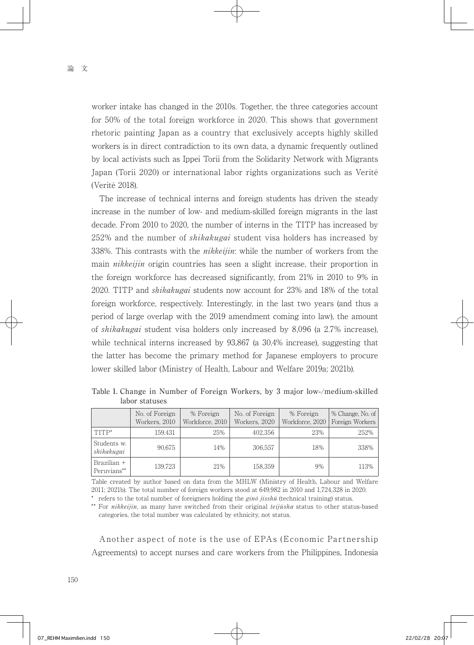worker intake has changed in the 2010s. Together, the three categories account for 50% of the total foreign workforce in 2020. This shows that government rhetoric painting Japan as a country that exclusively accepts highly skilled workers is in direct contradiction to its own data, a dynamic frequently outlined by local activists such as Ippei Torii from the Solidarity Network with Migrants Japan (Torii 2020) or international labor rights organizations such as Verité (Verité 2018).

 The increase of technical interns and foreign students has driven the steady increase in the number of low- and medium-skilled foreign migrants in the last decade. From 2010 to 2020, the number of interns in the TITP has increased by 252% and the number of *shikakugai* student visa holders has increased by 338%. This contrasts with the *nikkeijin*: while the number of workers from the main *nikkeijin* origin countries has seen a slight increase, their proportion in the foreign workforce has decreased significantly, from 21% in 2010 to 9% in 2020. TITP and *shikakugai* students now account for 23% and 18% of the total foreign workforce, respectively. Interestingly, in the last two years (and thus a period of large overlap with the 2019 amendment coming into law), the amount of shikakugai student visa holders only increased by 8,096 (a 2.7% increase), while technical interns increased by 93,867 (a 30.4% increase), suggesting that the latter has become the primary method for Japanese employers to procure lower skilled labor (Ministry of Health, Labour and Welfare 2019a; 2021b).

Table 1. Change in Number of Foreign Workers, by 3 major low-/medium-skilled labor statuses

|                            | No. of Foreign<br>Workers, 2010 | % Foreign<br>Workforce, 2010 | No. of Foreign<br>Workers, 2020 | % Foreign<br>Workforce, 2020 | % Change, No. of<br>Foreign Workers |
|----------------------------|---------------------------------|------------------------------|---------------------------------|------------------------------|-------------------------------------|
| TITP*                      | 159,431                         | 25%                          | 402.356                         | 23%                          | 252%                                |
| Students w.<br>shikakugai  | 90.675                          | 14%                          | 306.557                         | 18%                          | 338%                                |
| Brazilian +<br>Peruvians** | 139.723                         | 21%                          | 158,359                         | 9%                           | 113%                                |

Table created by author based on data from the MHLW (Ministry of Health, Labour and Welfare 2011; 2021b). The total number of foreign workers stood at 649,982 in 2010 and 1,724,328 in 2020.

\* refers to the total number of foreigners holding the  $\sin \theta$  jisshū (technical training) status.

\*\* For nikkeijin, as many have switched from their original teijūsha status to other status-based categories, the total number was calculated by ethnicity, not status.

 Another aspect of note is the use of EPAs (Economic Partnership Agreements) to accept nurses and care workers from the Philippines, Indonesia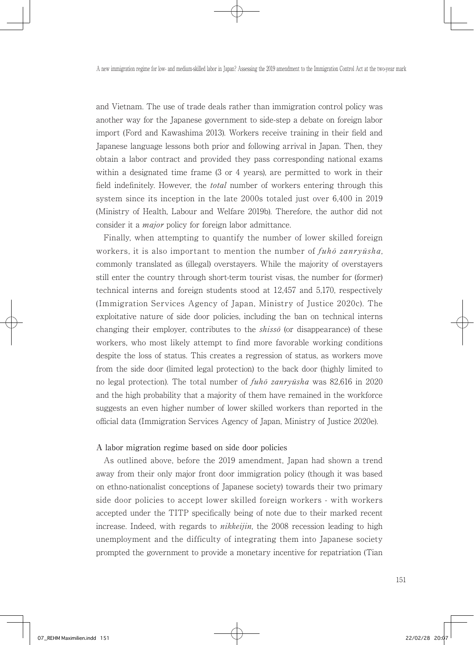and Vietnam. The use of trade deals rather than immigration control policy was another way for the Japanese government to side-step a debate on foreign labor import (Ford and Kawashima 2013). Workers receive training in their field and Japanese language lessons both prior and following arrival in Japan. Then, they obtain a labor contract and provided they pass corresponding national exams within a designated time frame (3 or 4 years), are permitted to work in their field indefinitely. However, the total number of workers entering through this system since its inception in the late 2000s totaled just over 6,400 in 2019 (Ministry of Health, Labour and Welfare 2019b). Therefore, the author did not consider it a major policy for foreign labor admittance.

 Finally, when attempting to quantify the number of lower skilled foreign workers, it is also important to mention the number of  $fuh\bar{o} zanry\bar{u}sha$ , commonly translated as (illegal) overstayers. While the majority of overstayers still enter the country through short-term tourist visas, the number for (former) technical interns and foreign students stood at 12,457 and 5,170, respectively (Immigration Services Agency of Japan, Ministry of Justice 2020c). The exploitative nature of side door policies, including the ban on technical interns changing their employer, contributes to the  $shiss\bar{o}$  (or disappearance) of these workers, who most likely attempt to find more favorable working conditions despite the loss of status. This creates a regression of status, as workers move from the side door (limited legal protection) to the back door (highly limited to no legal protection). The total number of *fuhō zanryūsha* was 82,616 in 2020 and the high probability that a majority of them have remained in the workforce suggests an even higher number of lower skilled workers than reported in the official data (Immigration Services Agency of Japan, Ministry of Justice 2020e).

#### A labor migration regime based on side door policies

 As outlined above, before the 2019 amendment, Japan had shown a trend away from their only major front door immigration policy (though it was based on ethno-nationalist conceptions of Japanese society) towards their two primary side door policies to accept lower skilled foreign workers - with workers accepted under the TITP specifically being of note due to their marked recent increase. Indeed, with regards to *nikkeijin*, the 2008 recession leading to high unemployment and the difficulty of integrating them into Japanese society prompted the government to provide a monetary incentive for repatriation (Tian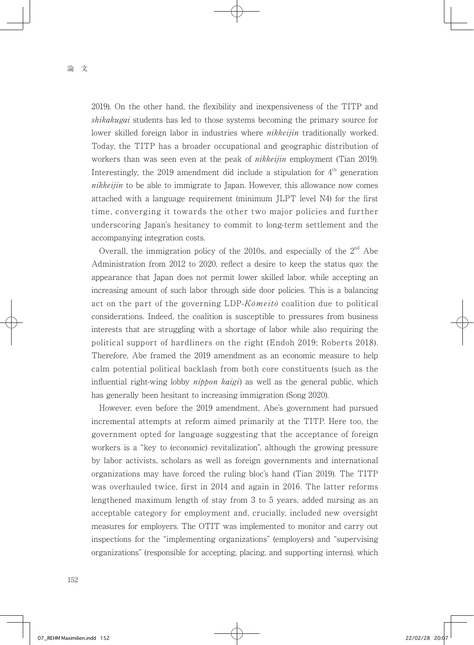2019). On the other hand, the flexibility and inexpensiveness of the TITP and shikakugai students has led to those systems becoming the primary source for lower skilled foreign labor in industries where *nikkeijin* traditionally worked. Today, the TITP has a broader occupational and geographic distribution of workers than was seen even at the peak of *nikkeijin* employment (Tian 2019). Interestingly, the 2019 amendment did include a stipulation for  $4<sup>th</sup>$  generation nikkeijin to be able to immigrate to Japan. However, this allowance now comes attached with a language requirement (minimum JLPT level N4) for the first time, converging it towards the other two major policies and further underscoring Japan's hesitancy to commit to long-term settlement and the accompanying integration costs.

Overall, the immigration policy of the 2010s, and especially of the  $2<sup>nd</sup>$  Abe Administration from 2012 to 2020, reflect a desire to keep the status quo: the appearance that Japan does not permit lower skilled labor, while accepting an increasing amount of such labor through side door policies. This is a balancing act on the part of the governing  $LDP-K\delta meit\delta$  coalition due to political considerations. Indeed, the coalition is susceptible to pressures from business interests that are struggling with a shortage of labor while also requiring the political support of hardliners on the right (Endoh 2019; Roberts 2018). Therefore, Abe framed the 2019 amendment as an economic measure to help calm potential political backlash from both core constituents (such as the influential right-wing lobby  $nippon$  kaigi) as well as the general public, which has generally been hesitant to increasing immigration (Song 2020).

 However, even before the 2019 amendment, Abe's government had pursued incremental attempts at reform aimed primarily at the TITP. Here too, the government opted for language suggesting that the acceptance of foreign workers is a "key to (economic) revitalization", although the growing pressure by labor activists, scholars as well as foreign governments and international organizations may have forced the ruling bloc's hand (Tian 2019). The TITP was overhauled twice, first in 2014 and again in 2016. The latter reforms lengthened maximum length of stay from 3 to 5 years, added nursing as an acceptable category for employment and, crucially, included new oversight measures for employers. The OTIT was implemented to monitor and carry out inspections for the "implementing organizations" (employers) and "supervising organizations" (responsible for accepting, placing, and supporting interns), which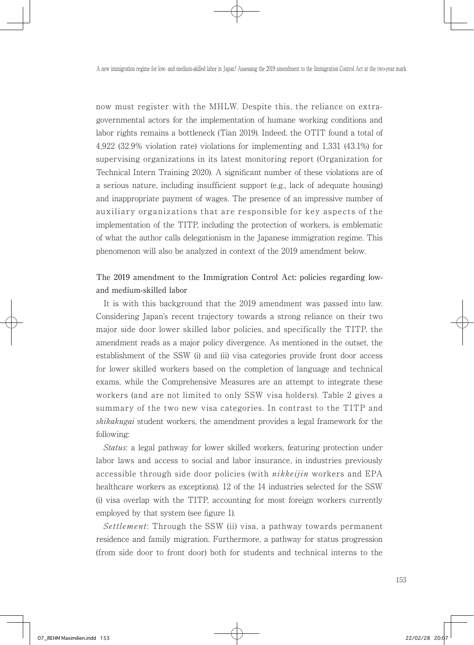now must register with the MHLW. Despite this, the reliance on extragovernmental actors for the implementation of humane working conditions and labor rights remains a bottleneck (Tian 2019). Indeed, the OTIT found a total of 4,922 (32.9% violation rate) violations for implementing and 1,331 (43.1%) for supervising organizations in its latest monitoring report (Organization for Technical Intern Training 2020). A significant number of these violations are of a serious nature, including insufficient support (e.g., lack of adequate housing) and inappropriate payment of wages. The presence of an impressive number of auxiliary organizations that are responsible for key aspects of the implementation of the TITP, including the protection of workers, is emblematic of what the author calls delegationism in the Japanese immigration regime. This phenomenon will also be analyzed in context of the 2019 amendment below.

The 2019 amendment to the Immigration Control Act: policies regarding lowand medium-skilled labor

 It is with this background that the 2019 amendment was passed into law. Considering Japan's recent trajectory towards a strong reliance on their two major side door lower skilled labor policies, and specifically the TITP, the amendment reads as a major policy divergence. As mentioned in the outset, the establishment of the SSW (i) and (ii) visa categories provide front door access for lower skilled workers based on the completion of language and technical exams, while the Comprehensive Measures are an attempt to integrate these workers (and are not limited to only SSW visa holders). Table 2 gives a summary of the two new visa categories. In contrast to the TITP and shikakugai student workers, the amendment provides a legal framework for the following:

 Status: a legal pathway for lower skilled workers, featuring protection under labor laws and access to social and labor insurance, in industries previously accessible through side door policies (with *nikkeijin* workers and EPA healthcare workers as exceptions). 12 of the 14 industries selected for the SSW (i) visa overlap with the TITP, accounting for most foreign workers currently employed by that system (see figure 1).

Settlement: Through the SSW (ii) visa, a pathway towards permanent residence and family migration. Furthermore, a pathway for status progression (from side door to front door) both for students and technical interns to the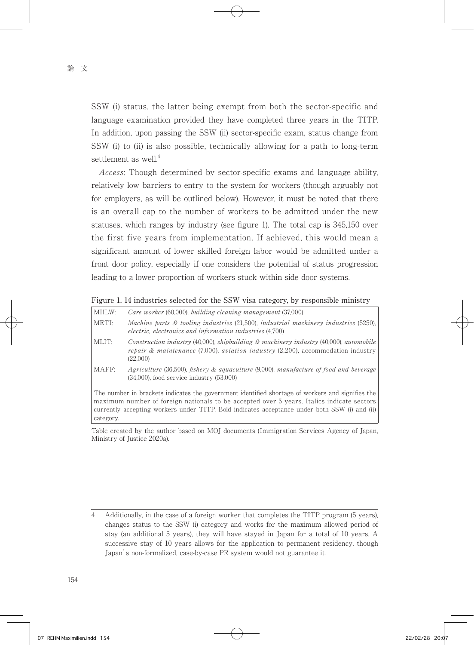SSW (i) status, the latter being exempt from both the sector-specific and language examination provided they have completed three years in the TITP. In addition, upon passing the SSW (ii) sector-specific exam, status change from SSW (i) to (ii) is also possible, technically allowing for a path to long-term settlement as well. $4$ 

 Access: Though determined by sector-specific exams and language ability, relatively low barriers to entry to the system for workers (though arguably not for employers, as will be outlined below). However, it must be noted that there is an overall cap to the number of workers to be admitted under the new statuses, which ranges by industry (see figure 1). The total cap is 345,150 over the first five years from implementation. If achieved, this would mean a significant amount of lower skilled foreign labor would be admitted under a front door policy, especially if one considers the potential of status progression leading to a lower proportion of workers stuck within side door systems.

Figure 1. 14 industries selected for the SSW visa category, by responsible ministry

| MHLW:                                                                                                                                                                                                                                                                                                       | Care worker (60,000), building cleaning management (37,000)                                                                                                                                                   |  |  |  |
|-------------------------------------------------------------------------------------------------------------------------------------------------------------------------------------------------------------------------------------------------------------------------------------------------------------|---------------------------------------------------------------------------------------------------------------------------------------------------------------------------------------------------------------|--|--|--|
| METI:                                                                                                                                                                                                                                                                                                       | Machine parts $\&$ tooling industries (21,500), industrial machinery industries (5250),<br>electric, electronics and information industries (4.700)                                                           |  |  |  |
| MLIT:                                                                                                                                                                                                                                                                                                       | Construction industry $(40,000)$ , shipbuilding & machinery industry $(40,000)$ , automobile<br><i>repair &amp; maintenance</i> (7,000), <i>aviation industry</i> (2,200), accommodation industry<br>(22.000) |  |  |  |
| MAFF:                                                                                                                                                                                                                                                                                                       | Agriculture (36,500), fishery & aquaculture (9,000), manufacture of food and beverage<br>$(34,000)$ , food service industry $(53,000)$                                                                        |  |  |  |
| The number in brackets indicates the government identified shortage of workers and signifies the<br>maximum number of foreign nationals to be accepted over 5 years. Italics indicate sectors<br>currently accepting workers under TITP. Bold indicates acceptance under both SSW (i) and (ii)<br>category. |                                                                                                                                                                                                               |  |  |  |

Table created by the author based on MOJ documents (Immigration Services Agency of Japan, Ministry of Justice 2020a).

<sup>4</sup> Additionally, in the case of a foreign worker that completes the TITP program (5 years), changes status to the SSW (i) category and works for the maximum allowed period of stay (an additional 5 years), they will have stayed in Japan for a total of 10 years. A successive stay of 10 years allows for the application to permanent residency, though Japan's non-formalized, case-by-case PR system would not guarantee it.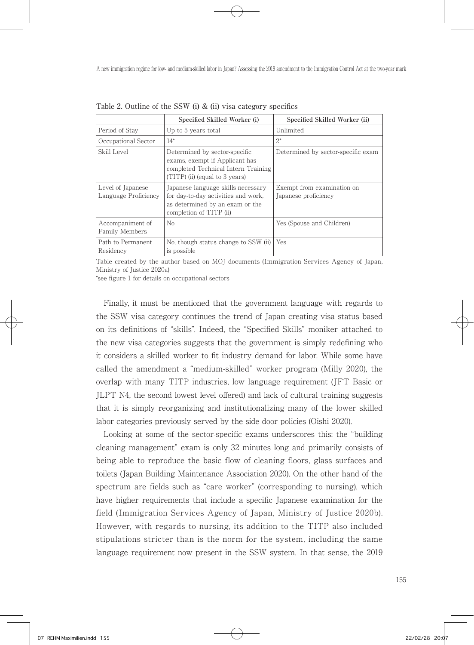|                                           | Specified Skilled Worker (i)                                                                                                             | Specified Skilled Worker (ii)                      |  |  |  |
|-------------------------------------------|------------------------------------------------------------------------------------------------------------------------------------------|----------------------------------------------------|--|--|--|
| Period of Stay                            | Up to 5 years total                                                                                                                      | Unlimited                                          |  |  |  |
| Occupational Sector                       | $14*$                                                                                                                                    | $2^*$                                              |  |  |  |
| Skill Level                               | Determined by sector-specific<br>exams, exempt if Applicant has<br>completed Technical Intern Training<br>(TITP) (ii) (equal to 3 years) | Determined by sector-specific exam                 |  |  |  |
| Level of Japanese<br>Language Proficiency | Japanese language skills necessary<br>for day-to-day activities and work.<br>as determined by an exam or the<br>completion of TITP (ii)  | Exempt from examination on<br>Japanese proficiency |  |  |  |
| Accompaniment of<br>Family Members        | No                                                                                                                                       | Yes (Spouse and Children)                          |  |  |  |
| Path to Permanent<br>Residency            | No, though status change to SSW (ii)<br>is possible                                                                                      | Yes                                                |  |  |  |

Table 2. Outline of the SSW (i) & (ii) visa category specifics

Table created by the author based on MOJ documents (Immigration Services Agency of Japan, Ministry of Justice 2020a)

\*see figure 1 for details on occupational sectors

 Finally, it must be mentioned that the government language with regards to the SSW visa category continues the trend of Japan creating visa status based on its definitions of "skills". Indeed, the "Specified Skills" moniker attached to the new visa categories suggests that the government is simply redefining who it considers a skilled worker to fit industry demand for labor. While some have called the amendment a "medium-skilled" worker program (Milly 2020), the overlap with many TITP industries, low language requirement (JFT Basic or JLPT N4, the second lowest level offered) and lack of cultural training suggests that it is simply reorganizing and institutionalizing many of the lower skilled labor categories previously served by the side door policies (Oishi 2020).

 Looking at some of the sector-specific exams underscores this: the "building cleaning management" exam is only 32 minutes long and primarily consists of being able to reproduce the basic flow of cleaning floors, glass surfaces and toilets (Japan Building Maintenance Association 2020). On the other hand of the spectrum are fields such as "care worker" (corresponding to nursing), which have higher requirements that include a specific Japanese examination for the field (Immigration Services Agency of Japan, Ministry of Justice 2020b). However, with regards to nursing, its addition to the TITP also included stipulations stricter than is the norm for the system, including the same language requirement now present in the SSW system. In that sense, the 2019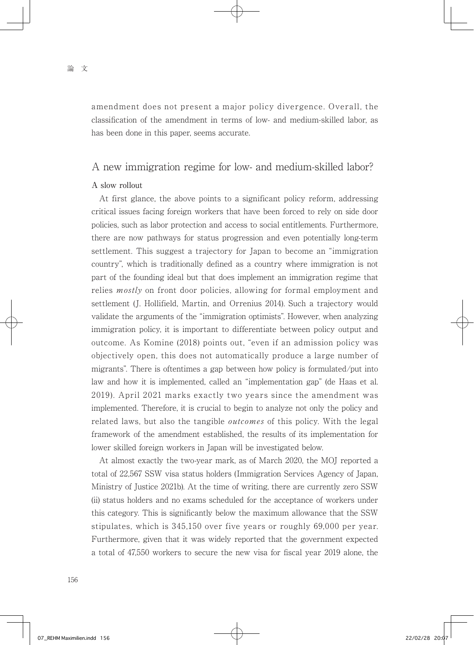amendment does not present a major policy divergence. Overall, the classification of the amendment in terms of low- and medium-skilled labor, as has been done in this paper, seems accurate.

## A new immigration regime for low- and medium-skilled labor?

#### A slow rollout

 At first glance, the above points to a significant policy reform, addressing critical issues facing foreign workers that have been forced to rely on side door policies, such as labor protection and access to social entitlements. Furthermore, there are now pathways for status progression and even potentially long-term settlement. This suggest a trajectory for Japan to become an "immigration country", which is traditionally defined as a country where immigration is not part of the founding ideal but that does implement an immigration regime that relies *mostly* on front door policies, allowing for formal employment and settlement (J. Hollifield, Martin, and Orrenius 2014). Such a trajectory would validate the arguments of the "immigration optimists". However, when analyzing immigration policy, it is important to differentiate between policy output and outcome. As Komine (2018) points out, "even if an admission policy was objectively open, this does not automatically produce a large number of migrants". There is oftentimes a gap between how policy is formulated/put into law and how it is implemented, called an "implementation gap" (de Haas et al. 2019). April 2021 marks exactly two years since the amendment was implemented. Therefore, it is crucial to begin to analyze not only the policy and related laws, but also the tangible *outcomes* of this policy. With the legal framework of the amendment established, the results of its implementation for lower skilled foreign workers in Japan will be investigated below.

 At almost exactly the two-year mark, as of March 2020, the MOJ reported a total of 22,567 SSW visa status holders (Immigration Services Agency of Japan, Ministry of Justice 2021b). At the time of writing, there are currently zero SSW (ii) status holders and no exams scheduled for the acceptance of workers under this category. This is significantly below the maximum allowance that the SSW stipulates, which is 345,150 over five years or roughly 69,000 per year. Furthermore, given that it was widely reported that the government expected a total of 47,550 workers to secure the new visa for fiscal year 2019 alone, the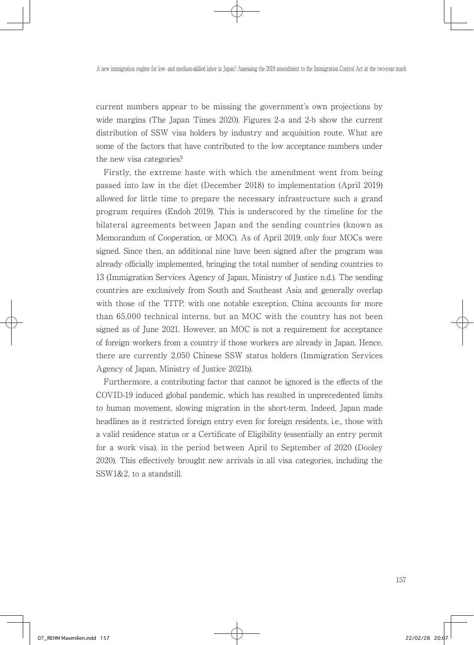current numbers appear to be missing the government's own projections by wide margins (The Japan Times 2020). Figures 2-a and 2-b show the current distribution of SSW visa holders by industry and acquisition route. What are some of the factors that have contributed to the low acceptance numbers under the new visa categories?

 Firstly, the extreme haste with which the amendment went from being passed into law in the diet (December 2018) to implementation (April 2019) allowed for little time to prepare the necessary infrastructure such a grand program requires (Endoh 2019). This is underscored by the timeline for the bilateral agreements between Japan and the sending countries (known as Memorandum of Cooperation, or MOC). As of April 2019, only four MOCs were signed. Since then, an additional nine have been signed after the program was already officially implemented, bringing the total number of sending countries to 13 (Immigration Services Agency of Japan, Ministry of Justice n.d.). The sending countries are exclusively from South and Southeast Asia and generally overlap with those of the TITP, with one notable exception. China accounts for more than 65,000 technical interns, but an MOC with the country has not been signed as of June 2021. However, an MOC is not a requirement for acceptance of foreign workers from a country if those workers are already in Japan. Hence, there are currently 2,050 Chinese SSW status holders (Immigration Services Agency of Japan, Ministry of Justice 2021b).

 Furthermore, a contributing factor that cannot be ignored is the effects of the COVID-19 induced global pandemic, which has resulted in unprecedented limits to human movement, slowing migration in the short-term. Indeed, Japan made headlines as it restricted foreign entry even for foreign residents, i.e., those with a valid residence status or a Certificate of Eligibility (essentially an entry permit for a work visa), in the period between April to September of 2020 (Dooley 2020). This effectively brought new arrivals in all visa categories, including the SSW1&2, to a standstill.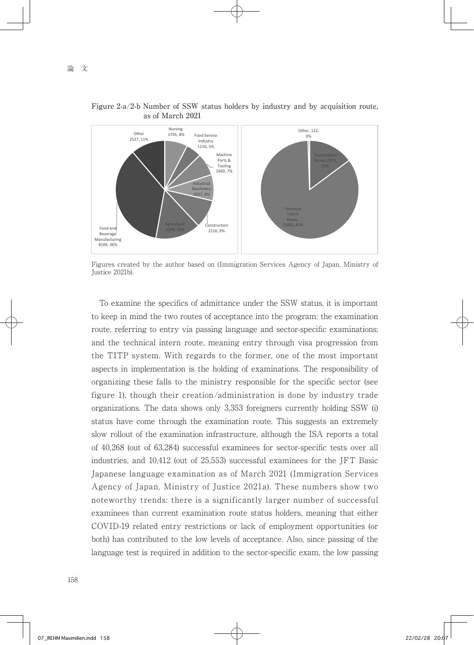

Figure 2-a/2-b Number of SSW status holders by industry and by acquisition route, as of March 2021

Figures created by the author based on (Immigration Services Agency of Japan, Ministry of Justice 2021b).

 To examine the specifics of admittance under the SSW status, it is important to keep in mind the two routes of acceptance into the program: the examination route, referring to entry via passing language and sector-specific examinations; and the technical intern route, meaning entry through visa progression from the TITP system. With regards to the former, one of the most important aspects in implementation is the holding of examinations. The responsibility of organizing these falls to the ministry responsible for the specific sector (see figure 1), though their creation/administration is done by industry trade organizations. The data shows only 3,353 foreigners currently holding SSW (i) status have come through the examination route. This suggests an extremely slow rollout of the examination infrastructure, although the ISA reports a total of 40,268 (out of 63,284) successful examinees for sector-specific tests over all industries, and 10,412 (out of 25,553) successful examinees for the JFT Basic Japanese language examination as of March 2021 (Immigration Services Agency of Japan, Ministry of Justice 2021a). These numbers show two noteworthy trends: there is a significantly larger number of successful examinees than current examination route status holders, meaning that either COVID-19 related entry restrictions or lack of employment opportunities (or both) has contributed to the low levels of acceptance. Also, since passing of the language test is required in addition to the sector-specific exam, the low passing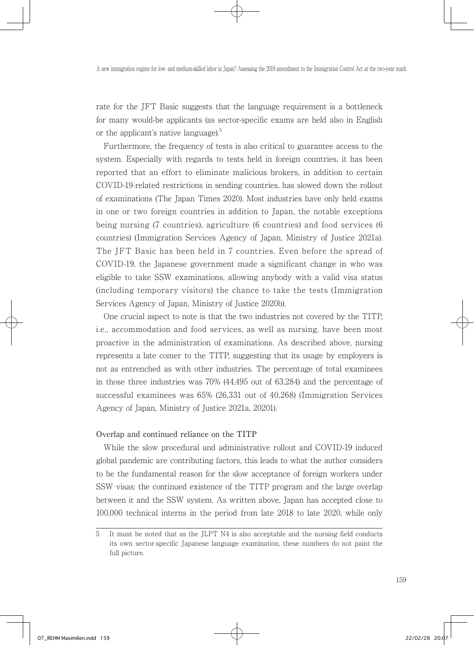rate for the JFT Basic suggests that the language requirement is a bottleneck for many would-be applicants (as sector-specific exams are held also in English or the applicant's native language). $5$ 

 Furthermore, the frequency of tests is also critical to guarantee access to the system. Especially with regards to tests held in foreign countries, it has been reported that an effort to eliminate malicious brokers, in addition to certain COVID-19-related restrictions in sending countries, has slowed down the rollout of examinations (The Japan Times 2020). Most industries have only held exams in one or two foreign countries in addition to Japan, the notable exceptions being nursing (7 countries), agriculture (6 countries) and food services (6 countries) (Immigration Services Agency of Japan, Ministry of Justice 2021a). The JFT Basic has been held in 7 countries. Even before the spread of COVID-19, the Japanese government made a significant change in who was eligible to take SSW examinations, allowing anybody with a valid visa status (including temporary visitors) the chance to take the tests (Immigration Services Agency of Japan, Ministry of Justice 2020b).

 One crucial aspect to note is that the two industries not covered by the TITP, i.e., accommodation and food services, as well as nursing, have been most proactive in the administration of examinations. As described above, nursing represents a late comer to the TITP, suggesting that its usage by employers is not as entrenched as with other industries. The percentage of total examinees in those three industries was 70% (44,495 out of 63,284) and the percentage of successful examinees was 65% (26,331 out of 40,268) (Immigration Services Agency of Japan, Ministry of Justice 2021a, 20201).

### Overlap and continued reliance on the TITP

 While the slow procedural and administrative rollout and COVID-19 induced global pandemic are contributing factors, this leads to what the author considers to be the fundamental reason for the slow acceptance of foreign workers under SSW visas: the continued existence of the TITP program and the large overlap between it and the SSW system. As written above, Japan has accepted close to 100,000 technical interns in the period from late 2018 to late 2020, while only

<sup>5</sup> It must be noted that as the JLPT N4 is also acceptable and the nursing field conducts its own sector-specific Japanese language examination, these numbers do not paint the full picture.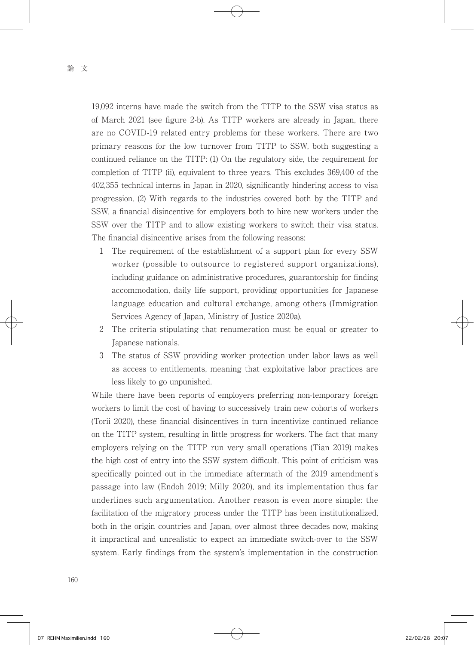19,092 interns have made the switch from the TITP to the SSW visa status as of March 2021 (see figure 2-b). As TITP workers are already in Japan, there are no COVID-19 related entry problems for these workers. There are two primary reasons for the low turnover from TITP to SSW, both suggesting a continued reliance on the TITP: (1) On the regulatory side, the requirement for completion of TITP (ii), equivalent to three years. This excludes 369,400 of the 402,355 technical interns in Japan in 2020, significantly hindering access to visa progression. (2) With regards to the industries covered both by the TITP and SSW, a financial disincentive for employers both to hire new workers under the SSW over the TITP and to allow existing workers to switch their visa status. The financial disincentive arises from the following reasons:

- 1 The requirement of the establishment of a support plan for every SSW worker (possible to outsource to registered support organizations), including guidance on administrative procedures, guarantorship for finding accommodation, daily life support, providing opportunities for Japanese language education and cultural exchange, among others (Immigration Services Agency of Japan, Ministry of Justice 2020a).
- 2 The criteria stipulating that renumeration must be equal or greater to Japanese nationals.
- 3 The status of SSW providing worker protection under labor laws as well as access to entitlements, meaning that exploitative labor practices are less likely to go unpunished.

While there have been reports of employers preferring non-temporary foreign workers to limit the cost of having to successively train new cohorts of workers (Torii 2020), these financial disincentives in turn incentivize continued reliance on the TITP system, resulting in little progress for workers. The fact that many employers relying on the TITP run very small operations (Tian 2019) makes the high cost of entry into the SSW system difficult. This point of criticism was specifically pointed out in the immediate aftermath of the 2019 amendment's passage into law (Endoh 2019; Milly 2020), and its implementation thus far underlines such argumentation. Another reason is even more simple: the facilitation of the migratory process under the TITP has been institutionalized, both in the origin countries and Japan, over almost three decades now, making it impractical and unrealistic to expect an immediate switch-over to the SSW system. Early findings from the system's implementation in the construction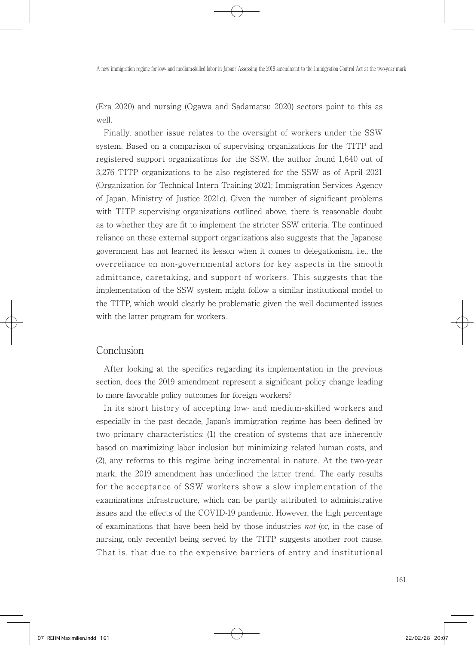(Era 2020) and nursing (Ogawa and Sadamatsu 2020) sectors point to this as well.

 Finally, another issue relates to the oversight of workers under the SSW system. Based on a comparison of supervising organizations for the TITP and registered support organizations for the SSW, the author found 1,640 out of 3,276 TITP organizations to be also registered for the SSW as of April 2021 (Organization for Technical Intern Training 2021; Immigration Services Agency of Japan, Ministry of Justice 2021c). Given the number of significant problems with TITP supervising organizations outlined above, there is reasonable doubt as to whether they are fit to implement the stricter SSW criteria. The continued reliance on these external support organizations also suggests that the Japanese government has not learned its lesson when it comes to delegationism, i.e., the overreliance on non-governmental actors for key aspects in the smooth admittance, caretaking, and support of workers. This suggests that the implementation of the SSW system might follow a similar institutional model to the TITP, which would clearly be problematic given the well documented issues with the latter program for workers.

## Conclusion

 After looking at the specifics regarding its implementation in the previous section, does the 2019 amendment represent a significant policy change leading to more favorable policy outcomes for foreign workers?

 In its short history of accepting low- and medium-skilled workers and especially in the past decade, Japan's immigration regime has been defined by two primary characteristics: (1) the creation of systems that are inherently based on maximizing labor inclusion but minimizing related human costs, and (2), any reforms to this regime being incremental in nature. At the two-year mark, the 2019 amendment has underlined the latter trend. The early results for the acceptance of SSW workers show a slow implementation of the examinations infrastructure, which can be partly attributed to administrative issues and the effects of the COVID-19 pandemic. However, the high percentage of examinations that have been held by those industries not (or, in the case of nursing, only recently) being served by the TITP suggests another root cause. That is, that due to the expensive barriers of entry and institutional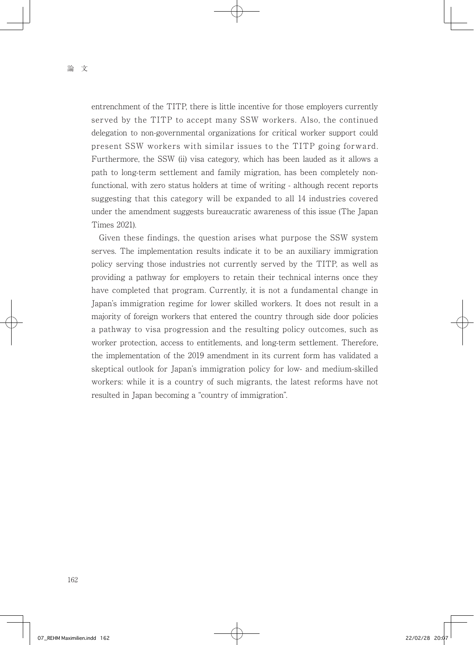entrenchment of the TITP, there is little incentive for those employers currently served by the TITP to accept many SSW workers. Also, the continued delegation to non-governmental organizations for critical worker support could present SSW workers with similar issues to the TITP going forward. Furthermore, the SSW (ii) visa category, which has been lauded as it allows a path to long-term settlement and family migration, has been completely nonfunctional, with zero status holders at time of writing - although recent reports suggesting that this category will be expanded to all 14 industries covered under the amendment suggests bureaucratic awareness of this issue (The Japan Times 2021).

 Given these findings, the question arises what purpose the SSW system serves. The implementation results indicate it to be an auxiliary immigration policy serving those industries not currently served by the TITP, as well as providing a pathway for employers to retain their technical interns once they have completed that program. Currently, it is not a fundamental change in Japan's immigration regime for lower skilled workers. It does not result in a majority of foreign workers that entered the country through side door policies a pathway to visa progression and the resulting policy outcomes, such as worker protection, access to entitlements, and long-term settlement. Therefore, the implementation of the 2019 amendment in its current form has validated a skeptical outlook for Japan's immigration policy for low- and medium-skilled workers: while it is a country of such migrants, the latest reforms have not resulted in Japan becoming a "country of immigration".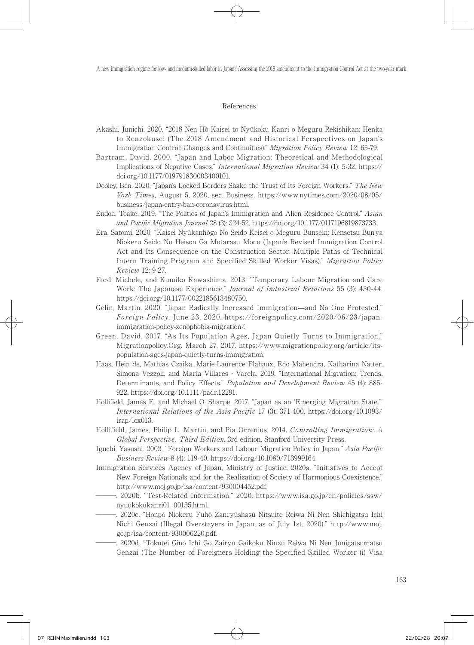#### References

- Akashi, Junichi. 2020. "2018 Nen Hō Kaisei to Nyūkoku Kanri o Meguru Rekishikan: Henka to Renzokusei (The 2018 Amendment and Historical Perspectives on Japan's Immigration Control: Changes and Continuities)." Migration Policy Review 12: 65-79.
- Bartram, David. 2000. "Japan and Labor Migration: Theoretical and Methodological Implications of Negative Cases." International Migration Review 34 (1): 5-32. https:// doi.org/10.1177/019791830003400101.
- Dooley, Ben. 2020. "Japan's Locked Borders Shake the Trust of Its Foreign Workers." The New York Times, August 5, 2020, sec. Business. https://www.nytimes.com/2020/08/05/ business/japan-entry-ban-coronavirus.html.
- Endoh, Toake. 2019. "The Politics of Japan's Immigration and Alien Residence Control." Asian and Pacific Migration Journal 28 (3): 324-52. https://doi.org/10.1177/0117196819873733.
- Era, Satomi. 2020. "Kaisei Nyūkanhōgo No Seido Keisei o Meguru Bunseki: Kensetsu Bun'ya Niokeru Seido No Heison Ga Motarasu Mono (Japan's Revised Immigration Control Act and Its Consequence on the Construction Sector: Multiple Paths of Technical Intern Training Program and Specified Skilled Worker Visas)." Migration Policy Review 12: 9-27.
- Ford, Michele, and Kumiko Kawashima. 2013. "Temporary Labour Migration and Care Work: The Japanese Experience." Journal of Industrial Relations 55 (3): 430-44. https://doi.org/10.1177/0022185613480750.
- Gelin, Martin. 2020. "Japan Radically Increased Immigration—and No One Protested." Foreign Policy, June 23, 2020. https://foreignpolicy.com/2020/06/23/japanimmigration-policy-xenophobia-migration/.
- Green, David. 2017. "As Its Population Ages, Japan Quietly Turns to Immigration." Migrationpolicy.Org. March 27, 2017. https://www.migrationpolicy.org/article/itspopulation-ages-japan-quietly-turns-immigration.
- Haas, Hein de, Mathias Czaika, Marie-Laurence Flahaux, Edo Mahendra, Katharina Natter, Simona Vezzoli, and María Villares‐Varela. 2019. "International Migration: Trends, Determinants, and Policy Effects." Population and Development Review 45 (4): 885- 922. https://doi.org/10.1111/padr.12291.
- Hollifield, James F., and Michael O. Sharpe. 2017. "Japan as an 'Emerging Migration State.'" International Relations of the Asia-Pacific 17 (3): 371-400. https://doi.org/10.1093/ irap/lcx013.
- Hollifield, James, Philip L. Martin, and Pia Orrenius. 2014. Controlling Immigration: A Global Perspective, Third Edition. 3rd edition. Stanford University Press.
- Iguchi, Yasushi. 2002. "Foreign Workers and Labour Migration Policy in Japan." Asia Pacific Business Review 8 (4): 119-40. https://doi.org/10.1080/713999164.
- Immigration Services Agency of Japan, Ministry of Justice. 2020a. "Initiatives to Accept New Foreign Nationals and for the Realization of Society of Harmonious Coexistence." http://www.moj.go.jp/isa/content/930004452.pdf.
- ―――. 2020b. "Test-Related Information." 2020. https://www.isa.go.jp/en/policies/ssw/ nyuukokukanri01\_00135.html.
	- ―――. 2020c. "Honpō Niokeru Fuhō Zanryūshasū Nitsuite Reiwa Ni Nen Shichigatsu Ichi Nichi Genzai (Illegal Overstayers in Japan, as of July 1st, 2020)." http://www.moj. go.jp/isa/content/930006220.pdf.
- ―――. 2020d. "Tokutei Ginō Ichi Gō Zairyū Gaikoku Ninzū Reiwa Ni Nen Jūnigatsumatsu Genzai (The Number of Foreigners Holding the Specified Skilled Worker (i) Visa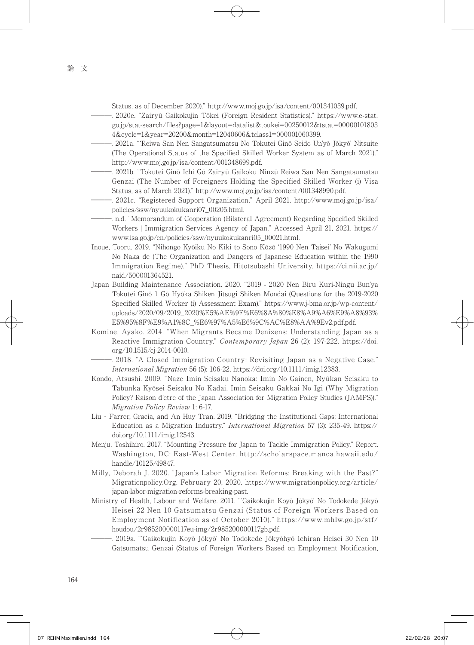Status, as of December 2020)." http://www.moj.go.jp/isa/content/001341039.pdf.

- ―――. 2020e. "Zairyū Gaikokujin Tōkei (Foreign Resident Statistics)." https://www.e-stat. go.jp/stat-search/files?page=1&layout=datalist&toukei=00250012&tstat=00000101803 4&cycle=1&year=20200&month=12040606&tclass1=000001060399.
- ―――. 2021a. "'Reiwa San Nen Sangatsumatsu No Tokutei Ginō Seido Un'yō Jōkyō' Nitsuite (The Operational Status of the Specified Skilled Worker System as of March 2021)." http://www.moj.go.jp/isa/content/001348699.pdf.
- ―――. 2021b. "Tokutei Ginō Ichi Gō Zairyū Gaikoku Ninzū Reiwa San Nen Sangatsumatsu Genzai (The Number of Foreigners Holding the Specified Skilled Worker (i) Visa Status, as of March 2021)." http://www.moj.go.jp/isa/content/001348990.pdf.
- ―――. 2021c. "Registered Support Organization." April 2021. http://www.moj.go.jp/isa/ policies/ssw/nyuukokukanri07\_00205.html.
- ―――. n.d. "Memorandum of Cooperation (Bilateral Agreement) Regarding Specified Skilled Workers ¦ Immigration Services Agency of Japan." Accessed April 21, 2021. https:// www.isa.go.jp/en/policies/ssw/nyuukokukanri05\_00021.html.
- Inoue, Tooru. 2019. "Nihongo Kyōiku No Kiki to Sono Kōzō '1990 Nen Taisei' No Wakugumi No Naka de (The Organization and Dangers of Japanese Education within the 1990 Immigration Regime)." PhD Thesis, Hitotsubashi University. https://ci.nii.ac.jp/ naid/500001364521.
- Japan Building Maintenance Association. 2020. "2019 2020 Nen Biru Kuri-Ningu Bun'ya Tokutei Ginō 1 Gō Hyōka Shiken Jitsugi Shiken Mondai (Questions for the 2019-2020 Specified Skilled Worker (i) Assessment Exam)." https://www.j-bma.or.jp/wp-content/ uploads/2020/09/2019\_2020%E5%AE%9F%E6%8A%80%E8%A9%A6%E9%A8%93% E5%95%8F%E9%A1%8C\_%E6%97%A5%E6%9C%AC%E8%AA%9Ev2.pdf.pdf.
- Komine, Ayako. 2014. "When Migrants Became Denizens: Understanding Japan as a Reactive Immigration Country." Contemporary Japan 26 (2): 197-222. https://doi. org/10.1515/cj-2014-0010.
	- ―――. 2018. "A Closed Immigration Country: Revisiting Japan as a Negative Case." International Migration 56 (5): 106-22. https://doi.org/10.1111/imig.12383.
- Kondo, Atsushi. 2009. "Naze Imin Seisaku Nanoka: Imin No Gainen, Nyūkan Seisaku to Tabunka Kyōsei Seisaku No Kadai, Imin Seisaku Gakkai No Igi (Why Migration Policy? Raison d'etre of the Japan Association for Migration Policy Studies (JAMPS))." Migration Policy Review 1: 6-17.
- Liu‐Farrer, Gracia, and An Huy Tran. 2019. "Bridging the Institutional Gaps: International Education as a Migration Industry." International Migration 57 (3): 235-49. https:// doi.org/10.1111/imig.12543.
- Menju, Toshihiro. 2017. "Mounting Pressure for Japan to Tackle Immigration Policy." Report. Washington, DC: East-West Center. http://scholarspace.manoa.hawaii.edu/ handle/10125/49847.
- Milly, Deborah J. 2020. "Japan's Labor Migration Reforms: Breaking with the Past?" Migrationpolicy.Org. February 20, 2020. https://www.migrationpolicy.org/article/ japan-labor-migration-reforms-breaking-past.
- Ministry of Health, Labour and Welfare. 2011. "'Gaikokujin Koyō Jōkyō' No Todokede Jōkyō Heisei 22 Nen 10 Gatsumatsu Genzai (Status of Foreign Workers Based on Employment Notification as of October 2010)." https://www.mhlw.go.jp/stf/ houdou/2r985200000117eu-img/2r985200000117gb.pdf.
	- ―――. 2019a. "'Gaikokujin Koyō Jōkyō' No Todokede Jōkyōhyō Ichiran Heisei 30 Nen 10 Gatsumatsu Genzai (Status of Foreign Workers Based on Employment Notification,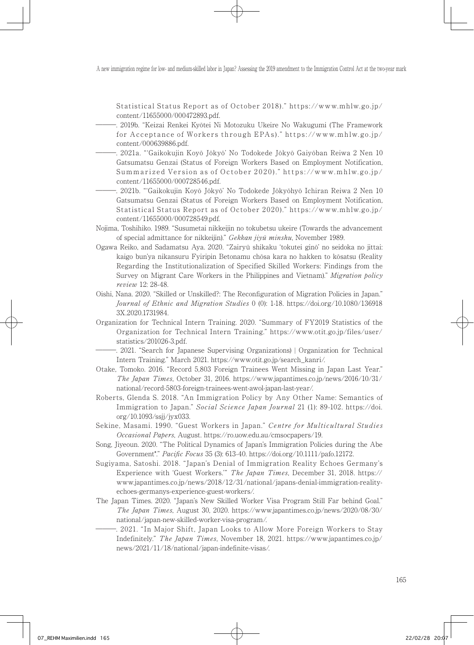Statistical Status Report as of October 2018)." https://www.mhlw.go.jp/ content/11655000/000472893.pdf.

- ―――. 2019b. "Keizai Renkei Kyōtei Ni Motozuku Ukeire No Wakugumi (The Framework for Accepta nce of Workers through EPAs)." https: //www.mhlw.go.jp/ content/000639886.pdf.
- ―――. 2021a. "'Gaikokujin Koyō Jōkyō' No Todokede Jōkyō Gaiyōban Reiwa 2 Nen 10 Gatsumatsu Genzai (Status of Foreign Workers Based on Employment Notification, Summarized Version as of October 2020)." https://www.mhlw.go.jp/ content/11655000/000728546.pdf.
- ―――. 2021b. "'Gaikokujin Koyō Jōkyō' No Todokede Jōkyōhyō Ichiran Reiwa 2 Nen 10 Gatsumatsu Genzai (Status of Foreign Workers Based on Employment Notification, Statistical Status Report as of October 2020)." https://www.mhlw.go.jp/ content/11655000/000728549.pdf.
- Nojima, Toshihiko. 1989. "Susumetai nikkeijin no tokubetsu ukeire (Towards the advancement of special admittance for nikkeijin)." Gekkan jiyū minshu, November 1989.
- Ogawa Reiko, and Sadamatsu Aya. 2020. "Zairyū shikaku 'tokutei ginō' no seidoka no jittai: kaigo bun'ya nikansuru Fyiripin Betonamu chōsa kara no hakken to kōsatsu (Reality Regarding the Institutionalization of Specified Skilled Workers: Findings from the Survey on Migrant Care Workers in the Philippines and Vietnam)." Migration policy review 12: 28-48.
- Oishi, Nana. 2020. "Skilled or Unskilled?: The Reconfiguration of Migration Policies in Japan." Journal of Ethnic and Migration Studies 0 (0): 1-18. https://doi.org/10.1080/136918 3X.2020.1731984.
- Organization for Technical Intern Training. 2020. "Summary of FY2019 Statistics of the Organization for Technical Intern Training." https://www.otit.go.jp/files/user/ statistics/201026-3.pdf.
- ―――. 2021. "Search for Japanese Supervising Organizations) ¦ Organization for Technical Intern Training." March 2021. https://www.otit.go.jp/search\_kanri/.
- Otake, Tomoko. 2016. "Record 5,803 Foreign Trainees Went Missing in Japan Last Year." The Japan Times, October 31, 2016. https://www.japantimes.co.jp/news/2016/10/31/ national/record-5803-foreign-trainees-went-awol-japan-last-year/.
- Roberts, Glenda S. 2018. "An Immigration Policy by Any Other Name: Semantics of Immigration to Japan." Social Science Japan Journal 21 (1): 89-102. https://doi. org/10.1093/ssjj/jyx033.
- Sekine, Masami. 1990. "Guest Workers in Japan." Centre for Multicultural Studies Occasional Papers, August. https://ro.uow.edu.au/cmsocpapers/19.
- Song, Jiyeoun. 2020. "The Political Dynamics of Japan's Immigration Policies during the Abe Government\*." Pacific Focus 35 (3): 613-40. https://doi.org/10.1111/pafo.12172.
- Sugiyama, Satoshi. 2018. "Japan's Denial of Immigration Reality Echoes Germany's Experience with 'Guest Workers.'" The Japan Times, December 31, 2018. https:// www.japantimes.co.jp/news/2018/12/31/national/japans-denial-immigration-realityechoes-germanys-experience-guest-workers/.
- The Japan Times. 2020. "Japan's New Skilled Worker Visa Program Still Far behind Goal." The Japan Times, August 30, 2020. https://www.japantimes.co.jp/news/2020/08/30/ national/japan-new-skilled-worker-visa-program/.
	- ―――. 2021. "In Major Shift, Japan Looks to Allow More Foreign Workers to Stay Indefinitely." The Japan Times, November 18, 2021. https://www.japantimes.co.jp/ news/2021/11/18/national/japan-indefinite-visas/.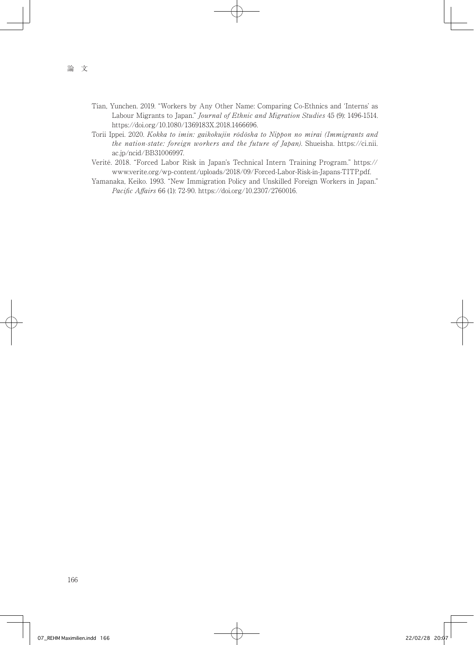- Tian, Yunchen. 2019. "Workers by Any Other Name: Comparing Co-Ethnics and 'Interns' as Labour Migrants to Japan." Journal of Ethnic and Migration Studies 45 (9): 1496-1514. https://doi.org/10.1080/1369183X.2018.1466696.
- Torii Ippei. 2020. Kokka to imin: gaikokujin rōdōsha to Nippon no mirai (Immigrants and the nation-state: foreign workers and the future of Japan). Shueisha. https://ci.nii. ac.jp/ncid/BB31006997.
- Verité. 2018. "Forced Labor Risk in Japan's Technical Intern Training Program." https:// www.verite.org/wp-content/uploads/2018/09/Forced-Labor-Risk-in-Japans-TITP.pdf.
- Yamanaka, Keiko. 1993. "New Immigration Policy and Unskilled Foreign Workers in Japan." Pacific Affairs 66 (1): 72-90. https://doi.org/10.2307/2760016.